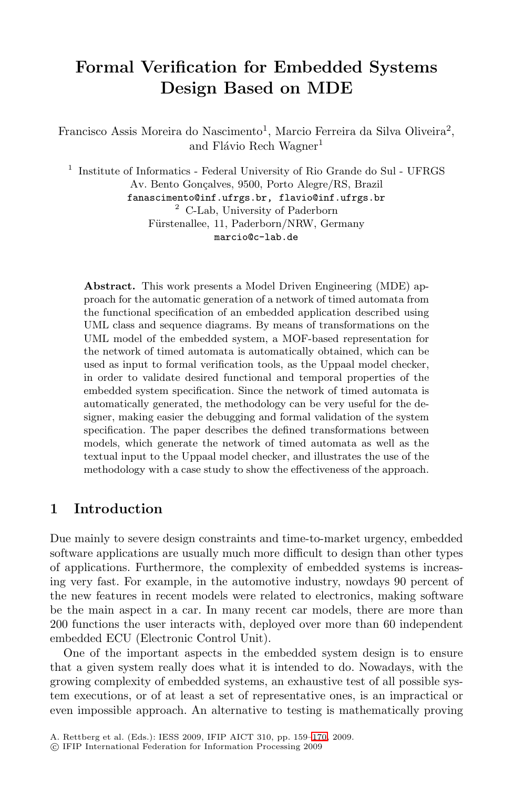# **Formal Verification for Embedded Systems Design Based on MDE**

Francisco Assis Moreira do Nascimento<sup>1</sup>, Marcio Ferreira da Silva Oliveira<sup>2</sup>, and Flávio Rech Wagner<sup>1</sup>

<sup>1</sup> Institute of Informatics - Federal University of Rio Grande do Sul - UFRGS Av. Bento Gonçalves, 9500, Porto Alegre/RS, Brazil fanascimento@inf.ufrgs.br, flavio@inf.ufrgs.br <sup>2</sup> C-Lab, University of Paderborn Fürstenallee, 11, Paderborn/NRW, Germany

marcio@c-lab.de

**Abstract.** This work presents a Model Driven Engineering (MDE) approach for the automatic generation of a network of timed automata from the functional specification of an embedded application described using UML class and sequence diagrams. By means of transformations on the UML model of the embedded system, a MOF-based representation for the network of timed automata is automatically obtained, which can be used as input to formal verification tools, as the Uppaal model checker, in order to validate desired functional and temporal properties of the embedded system specification. Since the network of timed automata is automatically generated, the methodology can be very useful for the designer, making easier the debugging and formal validation of the system specification. The paper describes the defined transformations between models, which generate the network of timed automata as well as the textual input to the Uppaal model checker, and illustrates the use of the methodology with a case study to show the effectiveness of the approach.

### **1 Introduction**

Due mainly to severe design constraints and time-to-market urgency, embedded software applications are usually much more difficult to design than other types of applications. Furthermore, the complexity of embedded systems is increasing very fast. For example, in the automotive industry, nowdays 90 percent of the new features in recent models were related to electronics, making software be the main aspect in a car. In many recent car models, there are more than 200 functions the user interact[s wi](#page-11-0)th, deployed over more than 60 independent embedded ECU (Electronic Control Unit).

One of the important aspects in the embedded system design is to ensure that a given system really does what it is intended to do. Nowadays, with the growing complexity of embedded systems, an exhaustive test of all possible system executions, or of at least a set of representative ones, is an impractical or even impossible approach. An alternative to testing is mathematically proving

A. Rettberg et al. (Eds.): IESS 2009, IFIP AICT 310, pp. 159–170, 2009.

<sup>-</sup>c IFIP International Federation for Information Processing 2009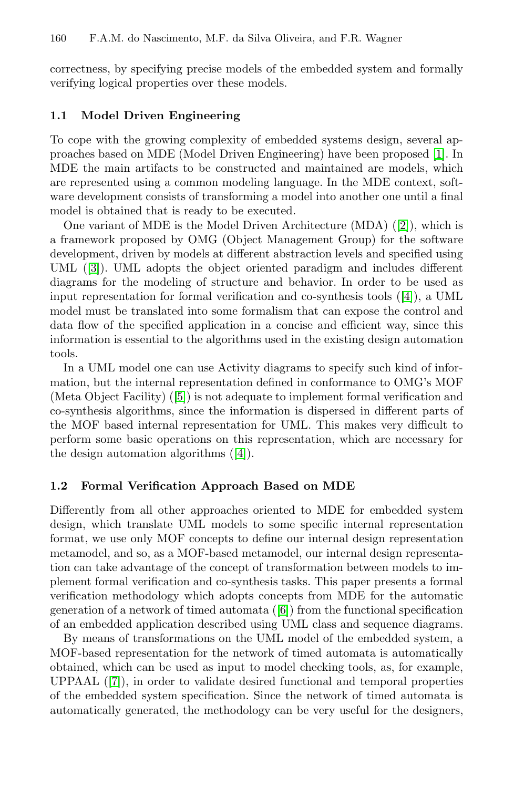correctness, by specifying precise models of the embedded system and formally verifying logical properties over these models.

#### **1.1 Model Driven Engineering**

To cope with the growing complexity of embedded systems design, several approaches based on MDE (Model Driven Engineering) have been proposed [1]. In MDE the main artifacts to be constructed and maintained are models, which are represented using a common modeling langu[ag](#page-11-1)e. In the MDE context, software development consists of transforming a model into another one until a final model is obtained that is ready to be executed.

One variant of MDE is the Model Driven Architecture (MDA) ([2]), which is a framework proposed by OMG (Object Management Group) for the software development, driven by models at different abstraction levels and specified using UML ([3]). UML adopts the object oriented paradigm and includes different diagr[am](#page-11-2)s for the modeling of structure and behavior. In order to be used as input representation for formal verification and co-synthesis tools ([4]), a UML model must be translated into some formalism that can expose the control and data flow of the specified application in a concise and efficient way, since this information is es[sen](#page-11-1)tial to the algorithms used in the existing design automation tools.

In a UML model one can use Activity diagrams to specify such kind of information, but the internal representation defined in conformance to OMG's MOF (Meta Object Facility) ([5]) is not adequate to implement formal verification and co-synthesis algorithms, since the information is dispersed in different parts of the MOF based internal representation for UML. This makes very difficult to perform some basic operations on this representation, which are necessary for the design automation algorithms ([4]).

#### **1.2 Formal Verification Approach Based on MDE**

Differently from all oth[er](#page-11-3) approaches oriented to MDE for embedded system design, which translate UML models to some specific internal representation format, we use only MOF concepts to define our internal design representation metamodel, and so, as a MOF-based metamodel, our internal design representation can take advantage of the concept of transformation between models to implement formal verification and co-synthesis tasks. This paper presents a formal verification methodology which adopts concepts from MDE for the automatic generation of a network of timed automata ([6]) from the functional specification of an embedded application described using UML class and sequence diagrams.

By means of transformations on the UML model of the embedded system, a MOF-based representation for the network of timed automata is automatically obtained, which can be used as input to model checking tools, as, for example, UPPAAL ([7]), in order to validate desired functional and temporal properties of the embedded system specification. Since the network of timed automata is automatically generated, the methodology can be very useful for the designers,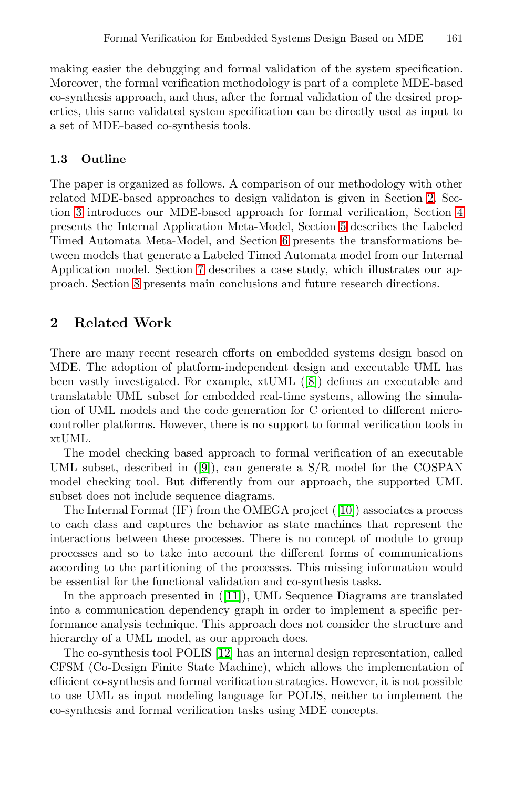making easier the debugging and formal validation of the system specification. Moreover, the formal verification methodology is part [of](#page-2-0) a complete MDE-based co-synthesis approach, and thus, after the formal validatio[n o](#page-4-0)f the desired properties, this same validated system sp[ec](#page-5-0)ification can be directly used as input to a set of MDE-based co-s[ynt](#page-6-0)hesis tools.

### **1.3 O[utl](#page-7-0)ine**

<span id="page-2-0"></span>The paper is organized as follows. A comparison of our methodology with other related MDE-based approaches to design validaton is given in Section 2. Section 3 introduces our MDE-based approach for formal verification, Section 4 presents the Internal Application Meta-Model, Section 5 describes the Labeled Timed Automata Meta-Model, and Section 6 presents the transformations between models that generate a Labeled Timed Automata model from our Internal Application model. Section 7 [de](#page-11-4)scribes a case study, which illustrates our approach. Section 8 presents main conclusions and future research directions.

# **2 Related Work**

There are [m](#page-11-5)any recent research efforts on embedded systems design based on MDE. The adoption of platform-independent design and executable UML has been vastly investigated. For example, xtUML ([8]) defines an executable and translatable UML subset for embed[ded](#page-11-6) real-time systems, allowing the simulation of UML models and the code generation for C oriented to different microcontroller platforms. However, there is no support to formal verification tools in xtUML.

The model checking based approach to formal verification of an executable UML subset, described in ([9]), can generate a S/R model for the COSPAN model checkin[g to](#page-11-7)ol. But differently from our approach, the supported UML subset does not include sequence diagrams.

The Internal Format (IF) from the OMEGA project ([10]) associates a process to each class and captures the behavior as state machines that represent the interactions [betw](#page-11-8)een these processes. There is no concept of module to group processes and so to take into account the different forms of communications according to the partitioning of the processes. This missing information would be essential for the functional validation and co-synthesis tasks.

In the approach presented in ([11]), UML Sequence Diagrams are translated into a communication dependency graph in order to implement a specific performance analysis technique. This approach does not consider the structure and hierarchy of a UML model, as our approach does.

The co-synthesis tool POLIS [12] has an internal design representation, called CFSM (Co-Design Finite State Machine), which allows the implementation of efficient co-synthesis and formal verification strategies. However, it is not possible to use UML as input modeling language for POLIS, neither to implement the co-synthesis and formal verification tasks using MDE concepts.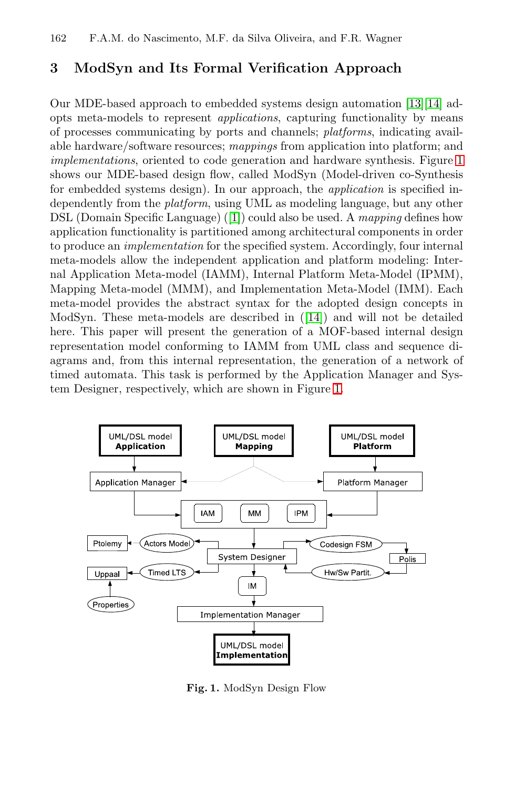# **3 ModSyn and Its Formal Verification Approach**

Our MDE-base[d a](#page-10-0)pproach to embedded systems design automation [13][14] adopts meta-models to represent *applications*, capturing functionality by means of processes communicating by ports and channels; *platforms*, indicating available hardware/software resources; *mappings* from application into platform; and *implementations*, oriented to code generation and hardware synthesis. Figure 1 shows our MDE-based design flow, called ModSyn (Model-driven co-Synthesis for embedded systems design). In our approach, the *application* is specified independently from the *platform*[, us](#page-11-9)ing UML as modeling language, but any other DSL (Domain Specific Language) ([1]) could also be used. A *mapping* defines how application functionality is partitioned among architectural components in order to produce an *implementation* for the specified system. Accordingly, four internal meta-models allow the independent application and platform modeling: Internal Application Meta-model (IAM[M\)](#page-3-0), Internal Platform Meta-Model (IPMM), Mapping Meta-model (MMM), and Implementation Meta-Model (IMM). Each meta-model provides the abstract syntax for the adopted design concepts in ModSyn. These meta-models are described in ([14]) and will not be detailed here. This paper will present the generation of a MOF-based internal design representation model conforming to IAMM from UML class and sequence diagrams and, from this internal representation, the generation of a network of timed automata. This task is performed by the Application Manager and System Designer, respectively, which are shown in Figure 1.



<span id="page-3-0"></span>**Fig. 1.** ModSyn Design Flow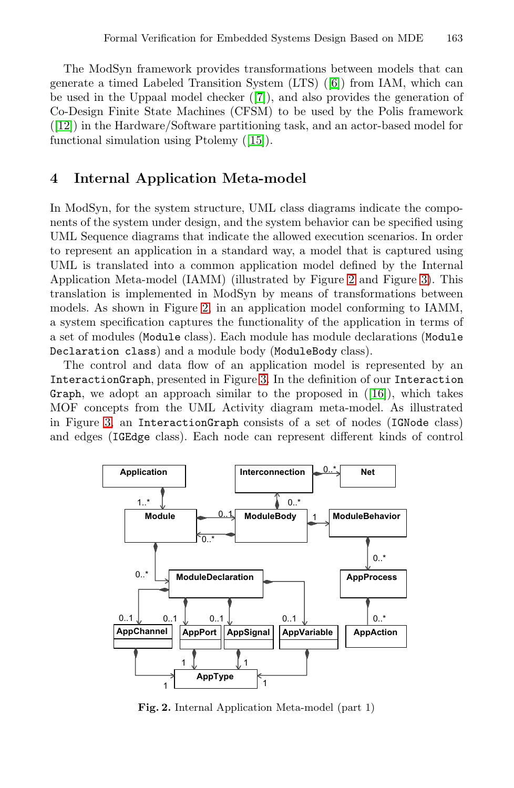<span id="page-4-0"></span>The ModSyn framework provides transformations between models that can generate a timed Labeled Transition System (LTS) ([6]) from IAM, which can be used in the Uppaal model checker ([7]), and also provides the generation of Co-Design Finite State Machines (CFSM) to be used by the Polis framework ([12]) in the Hardware/Software partitioning task, and an actor-based model for functional simulation using Ptolemy ([15]).

### **4 Internal Application Me[ta](#page-4-1)-model**

In ModSy[n,](#page-4-1) for the system structure, UML class diagrams indicate the components of the system under design, and the system behavior can be specified using UML Sequence diagrams that indicate the allowed execution scenarios. In order to represent an application in a standard way, a model that is captured using UML is translated i[nto](#page-5-1) a common application model defined by the Internal Application Meta-model (IAMM) (illustr[ated](#page-11-11) by Figure 2 and Figure 3). This translation is implemented in ModSyn by means of transformations between models. As shown in Figure 2, in an application model conforming to IAMM, a system specification captures the functionality of the application in terms of a set of modules (Module class). Each module has module declarations (Module Declaration class) and a module body (ModuleBody class).

The control and data flow of an application model is represented by an InteractionGraph, presented in Figure 3. In the definition of our Interaction Graph, we adopt an approach similar to the proposed in  $([16])$ , which takes MOF concepts from the UML Activity diagram meta-model. As illustrated in Figure 3, an InteractionGraph consists of a set of nodes (IGNode class) and edges (IGEdge class). Each node can represent different kinds of control



<span id="page-4-1"></span>**Fig. 2.** Internal Application Meta-model (part 1)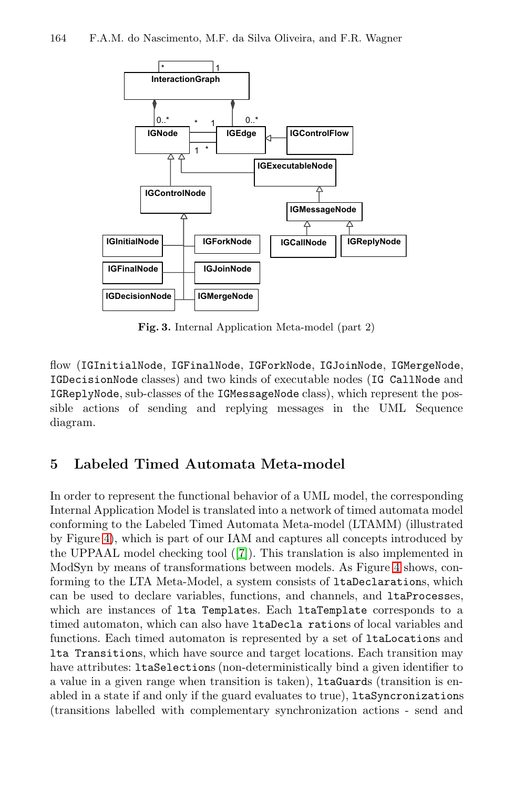

#### 164 F.A.M. do Nascimento, M.F. da Silva Oliveira, and F.R. Wagner

<span id="page-5-1"></span>**Fig. 3.** Internal Application Meta-model (part 2)

<span id="page-5-0"></span>flow (IGInitialNode, IGFinalNode, IGForkNode, IGJoinNode, IGMergeNode, IGDecisionNode classes) and two kinds of executable nodes (IG CallNode and IGReplyNode, sub-classes of the IGMessageNode class), which represent the possible actions of sending and replying messages in the UML Sequence diagram.

# **5 Labeled Timed Automata Met[a-m](#page-6-1)odel**

In order to represent the functional behavior of a UML model, the corresponding Internal Application Model is translated into a network of timed automata model conforming to the Labeled Timed Automata Meta-model (LTAMM) (illustrated by Figure 4), which is part of our IAM and captures all concepts introduced by the UPPAAL model checking tool ([7]). This translation is also implemented in ModSyn by means of transformations between models. As Figure 4 shows, conforming to the LTA Meta-Model, a system consists of ltaDeclarations, which can be used to declare variables, functions, and channels, and ltaProcesses, which are instances of lta Templates. Each ltaTemplate corresponds to a timed automaton, which can also have ltaDecla rations of local variables and functions. Each timed automaton is represented by a set of ltaLocations and lta Transitions, which have source and target locations. Each transition may have attributes: ltaSelections (non-deterministically bind a given identifier to a value in a given range when transition is taken), ltaGuards (transition is enabled in a state if and only if the guard evaluates to true), ltaSyncronizations (transitions labelled with complementary synchronization actions - send and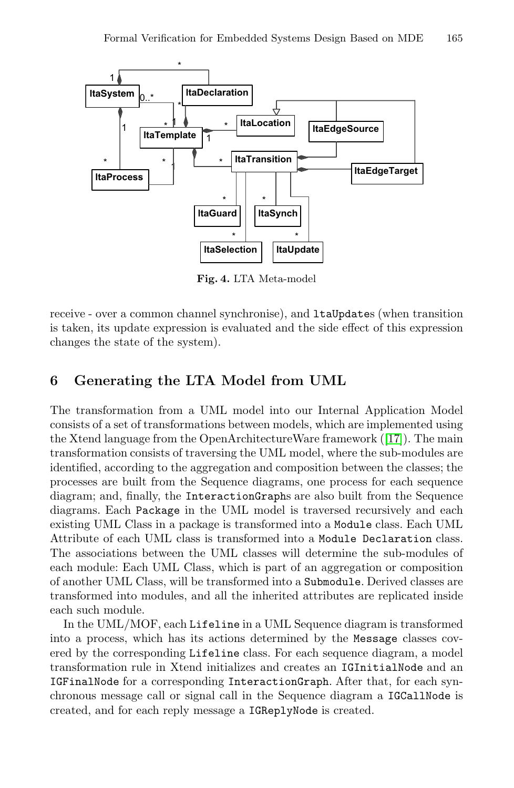

Formal Verification for Embedded Systems Design Based on MDE 165

<span id="page-6-1"></span>**Fig. 4.** LTA Meta-model

<span id="page-6-0"></span>receive - over a common channel synchronise), and ltaUpdates (when transition is taken, its update expression is evaluated an[d t](#page-11-12)he side effect of this expression changes the state of the system).

# **6 Generating the LTA Model from UML**

The transformation from a UML model into our Internal Application Model consists of a set of transformations between models, which are implemented using the Xtend language from the OpenArchitectureWare framework ([17]). The main transformation consists of traversing the UML model, where the sub-modules are identified, according to the aggregation and composition between the classes; the processes are built from the Sequence diagrams, one process for each sequence diagram; and, finally, the InteractionGraphs are also built from the Sequence diagrams. Each Package in the UML model is traversed recursively and each existing UML Class in a package is transformed into a Module class. Each UML Attribute of each UML class is transformed into a Module Declaration class. The associations between the UML classes will determine the sub-modules of each module: Each UML Class, which is part of an aggregation or composition of another UML Class, will be transformed into a Submodule. Derived classes are transformed into modules, and all the inherited attributes are replicated inside each such module.

In the UML/MOF, each Lifeline in a UML Sequence diagram is transformed into a process, which has its actions determined by the Message classes covered by the corresponding Lifeline class. For each sequence diagram, a model transformation rule in Xtend initializes and creates an IGInitialNode and an IGFinalNode for a corresponding InteractionGraph. After that, for each synchronous message call or signal call in the Sequence diagram a IGCallNode is created, and for each reply message a IGReplyNode is created.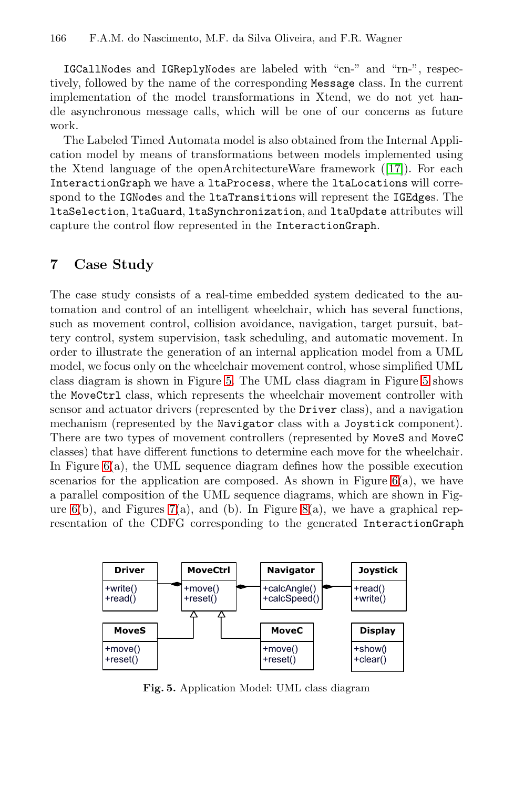#### 166 F.A.M. do Nascimento, M.F. da Silva Oliveira, and F.R. Wagner

IGCallNodes and IGReplyNodes are label[ed](#page-11-12) with "cn-" and "rn-", respectively, followed by the name of the corresponding Message class. In the current implementation of the model transformations in Xtend, we do not yet handle asynchronous message calls, which will be one of our concerns as future work.

<span id="page-7-0"></span>The Labeled Timed Automata model is also obtained from the Internal Application model by means of transformations between models implemented using the Xtend language of the openArchitectureWare framework ([17]). For each InteractionGraph we have a ltaProcess, where the ltaLocations will correspond to the IGNodes and the ltaTransitions will represent the IGEdges. The ltaSelection, ltaGuard, ltaSynchronization, and ltaUpdate attributes will capture the control flow represented in the InteractionGraph.

# **7 Case S[tu](#page-7-1)dy**

The case study consists of a real-time embedded system dedicated to the automation and control of an intelligent wheelchair, which has several functions, such as movement control, collision avoidance, navigation, target pursuit, battery control, system supervision, task scheduling, and automatic movement. In order to illustrate the generation of an internal application model from a UML model, we focus only on the wheelchair movem[ent](#page-8-0) control, whose simplified UML class diagram is shown in Figure 5. The UML class diagram in Figure 5 shows the [Mo](#page-8-1)veCtrl class, which re[pr](#page-9-0)esents the wheelchair movement controller with sensor and actuator drivers (represented by the Driver class), and a navigation mechanism (represented by the Navigator class with a Joystick component). There are two types of movement controllers (represented by MoveS and MoveC classes) that have different functions to determine each move for the wheelchair. In Figure  $6(a)$ , the UML sequence diagram defines how the possible execution scenarios for the application are composed. As shown in Figure  $6(a)$ , we have a parallel composition of the UML sequence diagrams, which are shown in Figure  $6(b)$ , and Figures 7(a), and (b). In Figure 8(a), we have a graphical representation of the CDFG corresponding to the generated InteractionGraph

<span id="page-7-1"></span>

**Fig. 5.** Application Model: UML class diagram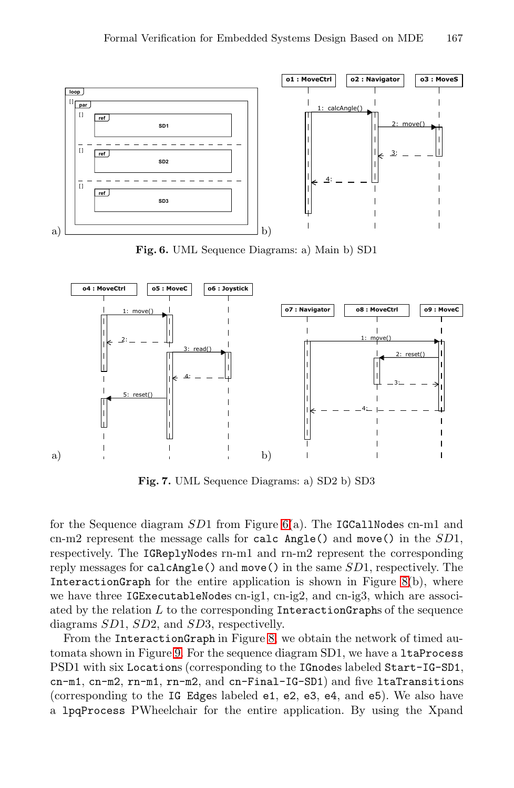<span id="page-8-0"></span>

**Fig. 6.** UML Sequence Diagrams: a) Main b) SD1

<span id="page-8-1"></span>

**Fig. 7.** UML Sequence Diagrams: [a\)](#page-9-0) SD2 b) SD3

for the Sequence diagr[am](#page-9-0) *SD*1 from Figure 6(a). The IGCallNodes cn-m1 and cn-[m2](#page-9-1) represent the message calls for calc Angle() and move() in the *SD*1, respectively. The IGReplyNodes rn-m1 and rn-m2 represent the corresponding reply messages for calcAngle() and move() in the same *SD*1, respectively. The InteractionGraph for the entire application is shown in Figure 8(b), where we have three IGExecutableNodes cn-ig1, cn-ig2, and cn-ig3, which are associated by the relation *L* to the corresponding InteractionGraphs of the sequence diagrams *SD*1, *SD*2, and *SD*3, respectivelly.

From the InteractionGraph in Figure 8, we obtain the network of timed automata shown in Figure 9. For the sequence diagram SD1, we have a ltaProcess PSD1 with six Locations (corresponding to the IGnodes labeled Start-IG-SD1, cn-m1, cn-m2, rn-m1, rn-m2, and cn-Final-IG-SD1) and five ltaTransitions (corresponding to the IG Edges labeled e1, e2, e3, e4, and e5). We also have a lpqProcess PWheelchair for the entire application. By using the Xpand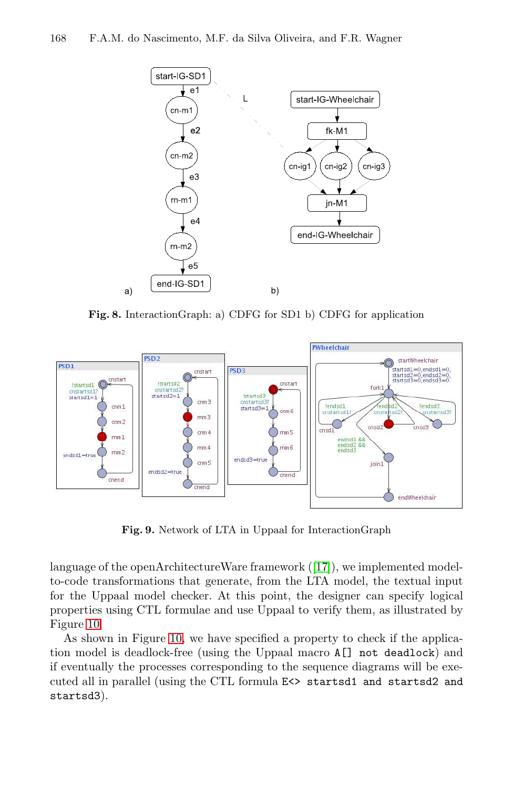

<span id="page-9-0"></span>**Fig. 8.** InteractionGraph: a) CDFG for SD1 b) CDFG for application

<span id="page-9-1"></span>

**Fig. 9.** Network of LTA in Uppaal for InteractionGraph

language of the openArchitectureWare framework ([17]), we implemented modelto-code transformations that generate, from the LTA model, the textual input for the Uppaal model checker. At this point, the designer can specify logical properties using CTL formulae and use Uppaal to verify them, as illustrated by Figure 10.

As shown in Figure 10, we have specified a property to check if the application model is deadlock-free (using the Uppaal macro A[] not deadlock) and if eventually the processes corresponding to the sequence diagrams will be executed all in parallel (using the CTL formula E<> startsd1 and startsd2 and startsd3).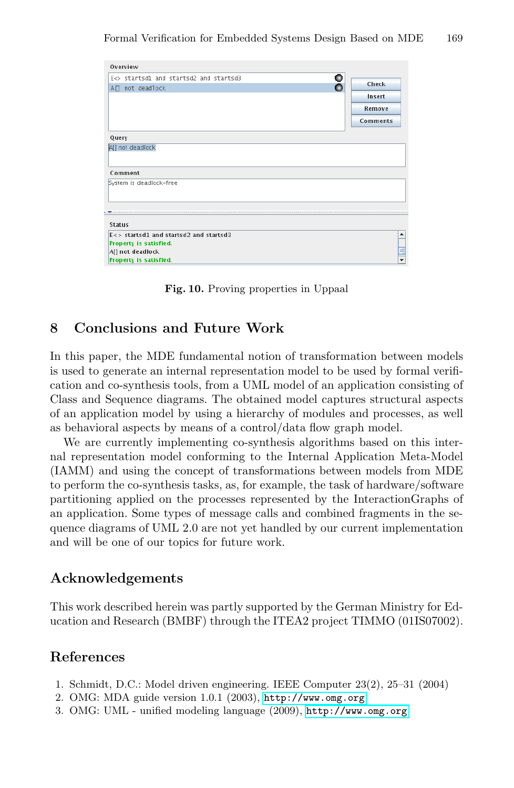| Overview                                                                                                                        |            |
|---------------------------------------------------------------------------------------------------------------------------------|------------|
| E $\circ$ startsd1 and startsd2 and startsd3                                                                                    | o          |
| A□ not deadlock                                                                                                                 | Check<br>Ο |
|                                                                                                                                 | Insert     |
|                                                                                                                                 | Remove     |
|                                                                                                                                 | Comments   |
| Query                                                                                                                           |            |
| AI] not deadlock                                                                                                                |            |
| Comment                                                                                                                         |            |
| System is deadlock-free                                                                                                         |            |
| k. Kaasaa aadaa aadaa aadaa aadaa aadaa aadaa aadaa aadaa aadaa aadaa aadaa aadaa aadaa aadaa aadaa aadaa aada<br><b>Status</b> |            |
| E<> startsd1 and startsd2 and startsd3<br>Property is satisfied.<br>A[] not deadlock<br><b>Proporty is satisfied</b>            | ▲          |

Formal Verification for Embedded Systems Design Based on MDE 169

**Fig. 10.** Proving properties in Uppaal

# **8 Conclusions and Future Work**

In this paper, the MDE fundamental notion of transformation between models is used to generate an internal representation model to be used by formal verification and co-synthesis tools, from a UML model of an application consisting of Class and Sequence diagrams. The obtained model captures structural aspects of an application model by using a hierarchy of modules and processes, as well as behavioral aspects by means of a control/data flow graph model.

We are currently implementing co-synthesis algorithms based on this internal representation model conforming to the Internal Application Meta-Model (IAMM) and using the concept of transformations between models from MDE to perform the co-synthesis tasks, as, for example, the task of hardware/software partitioning applied on the processes represented by the InteractionGraphs of an application. Some types of message calls and combined fragments in the sequence diagrams of UML 2.0 are not yet handled by our current implementation and will be one of our topics for future work.

# <span id="page-10-0"></span>**Acknowledgeme[nts](http://www.omg.org)**

This work described herein wa[s](http://www.omg.org) [partly](http://www.omg.org) [supported](http://www.omg.org) [by](http://www.omg.org) the German Ministry for Education and Research (BMBF) through the ITEA2 project TIMMO (01IS07002).

### **References**

- 1. Schmidt, D.C.: Model driven engineering. IEEE Computer 23(2), 25–31 (2004)
- 2. OMG: MDA guide version 1.0.1 (2003), http://www.omg.org
- 3. OMG: UML unified modeling language (2009), http://www.omg.org